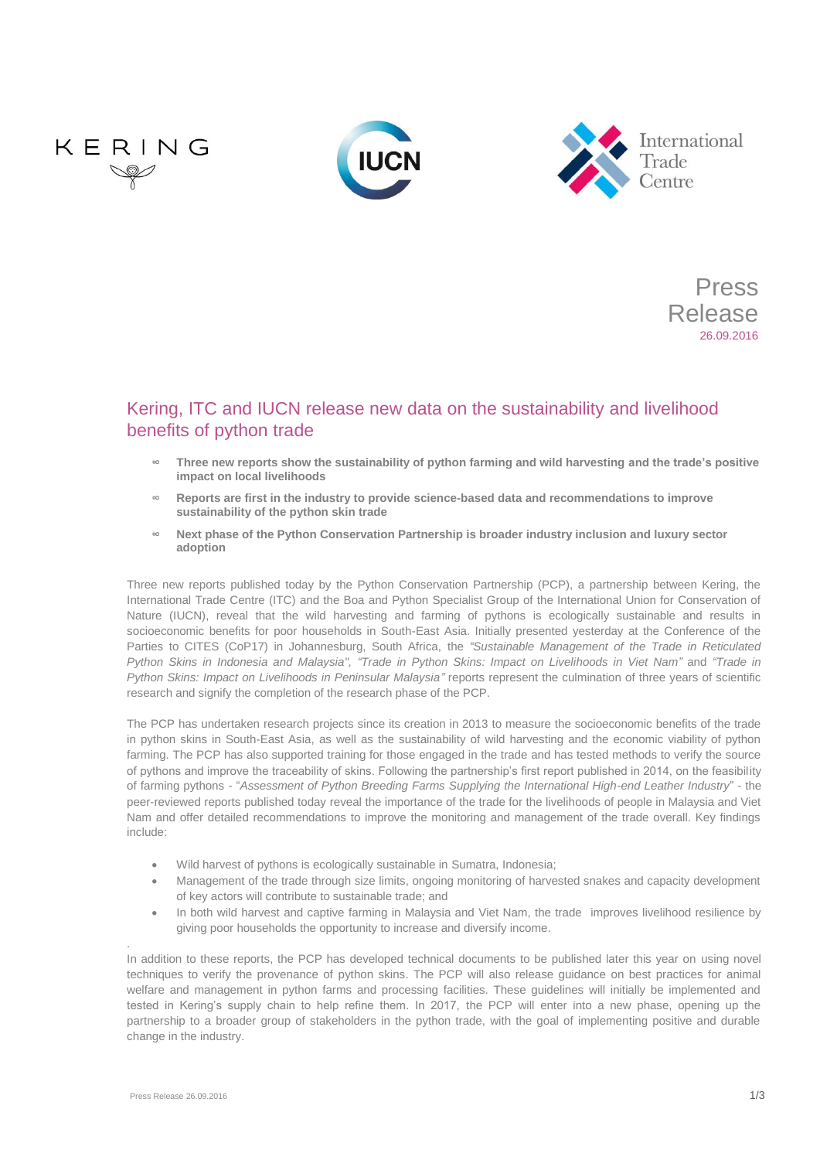





Press Release 26.09.2016

# Kering, ITC and IUCN release new data on the sustainability and livelihood benefits of python trade

- **∞ Three new reports show the sustainability of python farming and wild harvesting and the trade's positive impact on local livelihoods**
- **∞ Reports are first in the industry to provide science-based data and recommendations to improve sustainability of the python skin trade**
- **∞ Next phase of the Python Conservation Partnership is broader industry inclusion and luxury sector adoption**

Three new reports published today by the Python Conservation Partnership (PCP), a partnership between Kering, the International Trade Centre (ITC) and the Boa and Python Specialist Group of the International Union for Conservation of Nature (IUCN), reveal that the wild harvesting and farming of pythons is ecologically sustainable and results in socioeconomic benefits for poor households in South-East Asia. Initially presented yesterday at the Conference of the Parties to CITES (CoP17) in Johannesburg, South Africa, the *["Sustainable Management of the Trade in Reticulated](https://www.iucn.org/sites/dev/files/content/documents/2016/natusch_et_al_2016_sustainable_management_of_the_trade_in_reticulated_python_skins.pdf)  [Python Skins in Indonesia and Malaysia"](https://www.iucn.org/sites/dev/files/content/documents/2016/natusch_et_al_2016_sustainable_management_of_the_trade_in_reticulated_python_skins.pdf), ["Trade in Python Skins: Impact on Livelihoods in Viet Nam"](http://www.intracen.org/publication/Trade-in-Python-Skins-Impact-on-Livelihoods-in-Viet-Nam/)* and *["Trade in](http://www.intracen.org/publication/Trade-in-Python-Skins-Impact-on-Livelihoods-in-Peninsular-Malaysia/)  [Python Skins: Impact on Livelihoods in Peninsular Malaysia"](http://www.intracen.org/publication/Trade-in-Python-Skins-Impact-on-Livelihoods-in-Peninsular-Malaysia/)* reports represent the culmination of three years of scientific research and signify the completion of the research phase of the PCP.

The PCP has undertaken research projects since its creation in 2013 to measure the socioeconomic benefits of the trade in python skins in South-East Asia, as well as the sustainability of wild harvesting and the economic viability of python farming. The PCP has also supported training for those engaged in the trade and has tested methods to verify the source of pythons and improve the traceability of skins. Following the partnership's first report published in 2014, on the feasibility of farming pythons - "*[Assessment of Python Breeding Farms Supplying the International High-end Leather Industry](https://portals.iucn.org/library/sites/library/files/documents/SSC-OP-050.PDF)*" - the peer-reviewed reports published today reveal the importance of the trade for the livelihoods of people in Malaysia and Viet Nam and offer detailed recommendations to improve the monitoring and management of the trade overall. Key findings include:

- Wild harvest of pythons is ecologically sustainable in Sumatra, Indonesia;
- Management of the trade through size limits, ongoing monitoring of harvested snakes and capacity development of key actors will contribute to sustainable trade; and
- In both wild harvest and captive farming in Malaysia and Viet Nam, the trade improves livelihood resilience by giving poor households the opportunity to increase and diversify income.

In addition to these reports, the PCP has developed technical documents to be published later this year on using novel techniques to verify the provenance of python skins. The PCP will also release guidance on best practices for animal welfare and management in python farms and processing facilities. These guidelines will initially be implemented and tested in Kering's supply chain to help refine them. In 2017, the PCP will enter into a new phase, opening up the partnership to a broader group of stakeholders in the python trade, with the goal of implementing positive and durable change in the industry.

.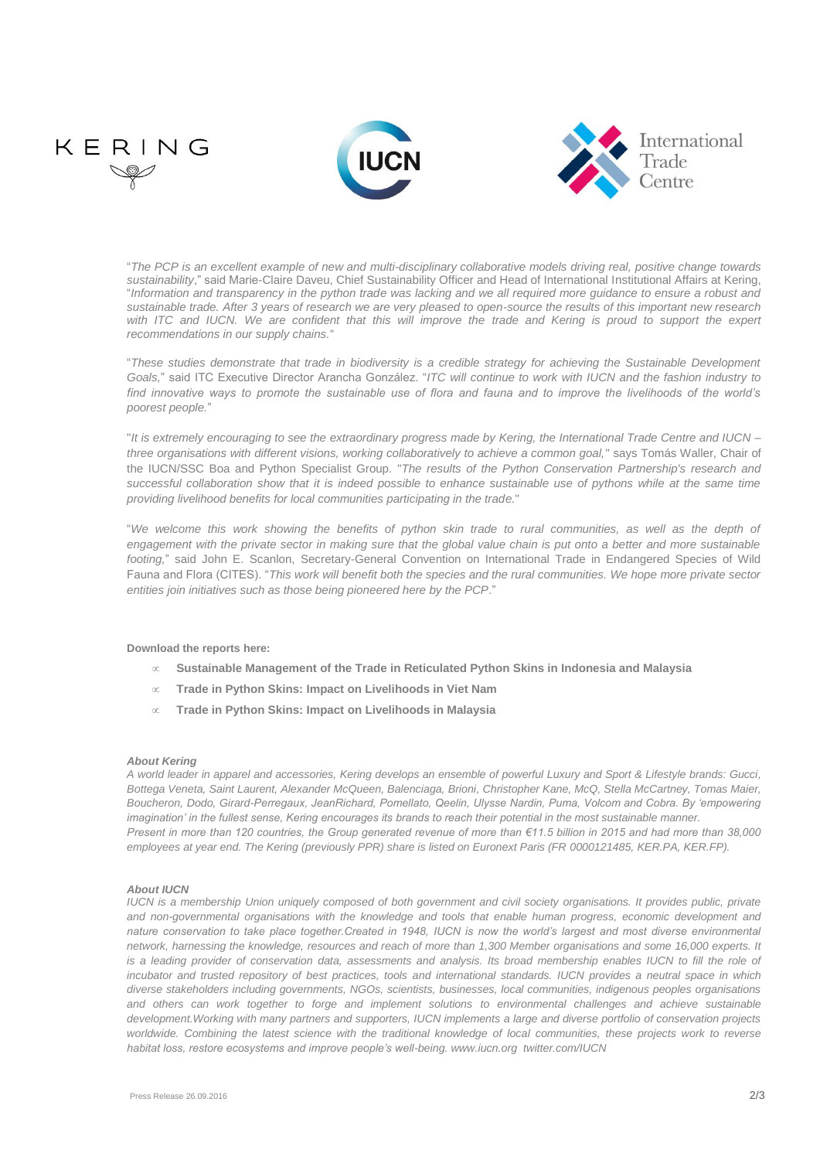

"*The PCP is an excellent example of new and multi-disciplinary collaborative models driving real, positive change towards sustainability*," said Marie-Claire Daveu, Chief Sustainability Officer and Head of International Institutional Affairs at Kering, "*Information and transparency in the python trade was lacking and we all required more guidance to ensure a robust and sustainable trade. After 3 years of research we are very pleased to open-source the results of this important new research*  with ITC and IUCN. We are confident that this will improve the trade and Kering is proud to support the expert *recommendations in our supply chains.*"

"*These studies demonstrate that trade in biodiversity is a credible strategy for achieving the Sustainable Development Goals,*" said ITC Executive Director Arancha González. "*ITC will continue to work with IUCN and the fashion industry to find innovative ways to promote the sustainable use of flora and fauna and to improve the livelihoods of the world's poorest people.*"

"*It is extremely encouraging to see the extraordinary progress made by Kering, the International Trade Centre and IUCN – three organisations with different visions, working collaboratively to achieve a common goal,*" says Tomás Waller, Chair of the IUCN/SSC Boa and Python Specialist Group. "*The results of the Python Conservation Partnership's research and*  successful collaboration show that it is indeed possible to enhance sustainable use of pythons while at the same time *providing livelihood benefits for local communities participating in the trade.*"

"*We welcome this work showing the benefits of python skin trade to rural communities, as well as the depth of engagement with the private sector in making sure that the global value chain is put onto a better and more sustainable footing,*" said John E. Scanlon, Secretary-General Convention on International Trade in Endangered Species of Wild Fauna and Flora (CITES). "*This work will benefit both the species and the rural communities. We hope more private sector entities join initiatives such as those being pioneered here by the PCP*."

**Download the reports here:**

- **[Sustainable Management of the Trade in Reticulated Python Skins in Indonesia and Malaysia](https://www.iucn.org/sites/dev/files/content/documents/2016/natusch_et_al_2016_sustainable_management_of_the_trade_in_reticulated_python_skins.pdf)**
- **[Trade in Python Skins: Impact on Livelihoods in Viet Nam](http://www.intracen.org/publication/Trade-in-Python-Skins-Impact-on-Livelihoods-in-Viet-Nam/)**
- **[Trade in Python Skins: Impact](http://www.intracen.org/publication/Trade-in-Python-Skins-Impact-on-Livelihoods-in-Peninsular-Malaysia/) on Livelihoods in Malaysia**

# *About Kering*

*A world leader in apparel and accessories, Kering develops an ensemble of powerful Luxury and Sport & Lifestyle brands: Gucci, Bottega Veneta, Saint Laurent, Alexander McQueen, Balenciaga, Brioni, Christopher Kane, McQ, Stella McCartney, Tomas Maier, Boucheron, Dodo, Girard-Perregaux, JeanRichard, Pomellato, Qeelin, Ulysse Nardin, Puma, Volcom and Cobra. By 'empowering imagination' in the fullest sense, Kering encourages its brands to reach their potential in the most sustainable manner. Present in more than 120 countries, the Group generated revenue of more than €11.5 billion in 2015 and had more than 38,000 employees at year end. The Kering (previously PPR) share is listed on Euronext Paris (FR 0000121485, KER.PA, KER.FP).*

# *About IUCN*

*IUCN is a membership Union uniquely composed of both government and civil society organisations. It provides public, private and non-governmental organisations with the knowledge and tools that enable human progress, economic development and nature conservation to take place together.Created in 1948, IUCN is now the world's largest and most diverse environmental network, harnessing the knowledge, resources and reach of more than 1,300 Member organisations and some 16,000 experts. It*  is a leading provider of conservation data, assessments and analysis. Its broad membership enables IUCN to fill the role of *incubator and trusted repository of best practices, tools and international standards. IUCN provides a neutral space in which diverse stakeholders including governments, NGOs, scientists, businesses, local communities, indigenous peoples organisations and others can work together to forge and implement solutions to environmental challenges and achieve sustainable development.Working with many partners and supporters, IUCN implements a large and diverse portfolio of conservation projects* worldwide. Combining the latest science with the traditional knowledge of local communities, these projects work to reverse *habitat loss, restore ecosystems and improve people's well-being[. www.iucn.org](http://www.iucn.org/) [twitter.com/IUCN](https://twitter.com/IUCN/)*